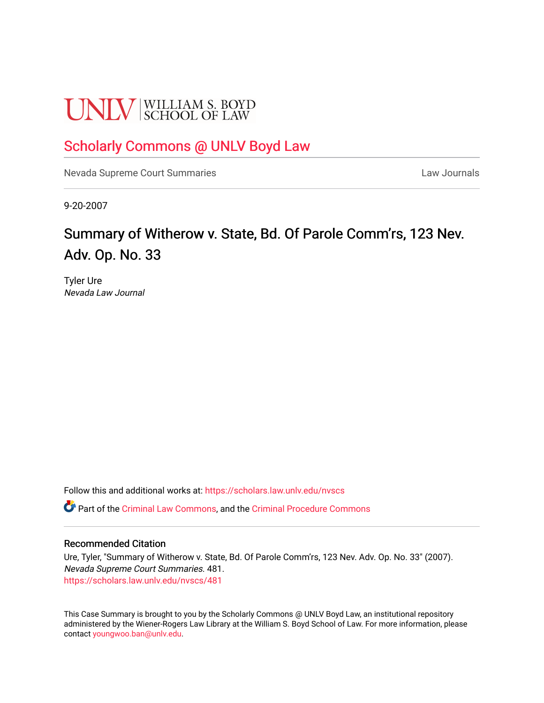# **UNLV** SCHOOL OF LAW

# [Scholarly Commons @ UNLV Boyd Law](https://scholars.law.unlv.edu/)

[Nevada Supreme Court Summaries](https://scholars.law.unlv.edu/nvscs) **Law Journals** Law Journals

9-20-2007

# Summary of Witherow v. State, Bd. Of Parole Comm'rs, 123 Nev. Adv. Op. No. 33

Tyler Ure Nevada Law Journal

Follow this and additional works at: [https://scholars.law.unlv.edu/nvscs](https://scholars.law.unlv.edu/nvscs?utm_source=scholars.law.unlv.edu%2Fnvscs%2F481&utm_medium=PDF&utm_campaign=PDFCoverPages)

Part of the [Criminal Law Commons,](http://network.bepress.com/hgg/discipline/912?utm_source=scholars.law.unlv.edu%2Fnvscs%2F481&utm_medium=PDF&utm_campaign=PDFCoverPages) and the [Criminal Procedure Commons](http://network.bepress.com/hgg/discipline/1073?utm_source=scholars.law.unlv.edu%2Fnvscs%2F481&utm_medium=PDF&utm_campaign=PDFCoverPages)

#### Recommended Citation

Ure, Tyler, "Summary of Witherow v. State, Bd. Of Parole Comm'rs, 123 Nev. Adv. Op. No. 33" (2007). Nevada Supreme Court Summaries. 481. [https://scholars.law.unlv.edu/nvscs/481](https://scholars.law.unlv.edu/nvscs/481?utm_source=scholars.law.unlv.edu%2Fnvscs%2F481&utm_medium=PDF&utm_campaign=PDFCoverPages)

This Case Summary is brought to you by the Scholarly Commons @ UNLV Boyd Law, an institutional repository administered by the Wiener-Rogers Law Library at the William S. Boyd School of Law. For more information, please contact [youngwoo.ban@unlv.edu](mailto:youngwoo.ban@unlv.edu).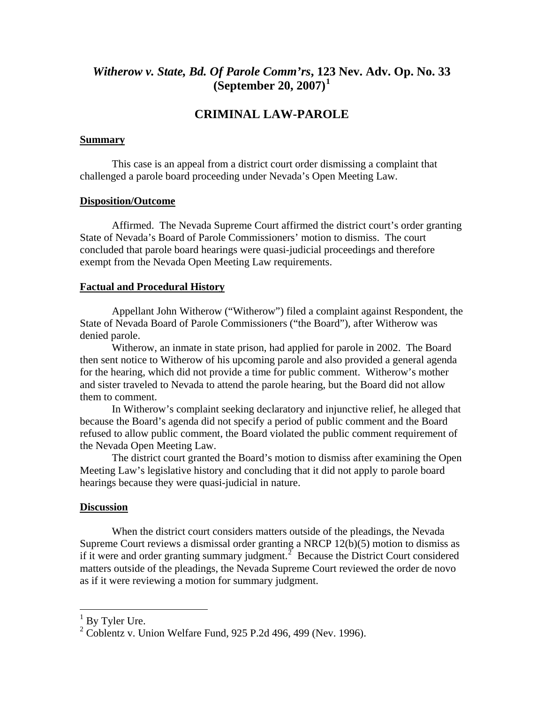## *Witherow v. State, Bd. Of Parole Comm'rs***, 12[3](#page-1-0) Nev. Adv. Op. No. 33 (September 20, 2007)[1](#page-1-0)**

## **CRIMINAL LAW-PAROLE**

#### **Summary**

 This case is an appeal from a district court order dismissing a complaint that challenged a parole board proceeding under Nevada's Open Meeting Law.

#### **Disposition/Outcome**

 Affirmed. The Nevada Supreme Court affirmed the district court's order granting State of Nevada's Board of Parole Commissioners' motion to dismiss. The court concluded that parole board hearings were quasi-judicial proceedings and therefore exempt from the Nevada Open Meeting Law requirements.

#### **Factual and Procedural History**

 Appellant John Witherow ("Witherow") filed a complaint against Respondent, the State of Nevada Board of Parole Commissioners ("the Board"), after Witherow was denied parole.

Witherow, an inmate in state prison, had applied for parole in 2002. The Board then sent notice to Witherow of his upcoming parole and also provided a general agenda for the hearing, which did not provide a time for public comment. Witherow's mother and sister traveled to Nevada to attend the parole hearing, but the Board did not allow them to comment.

In Witherow's complaint seeking declaratory and injunctive relief, he alleged that because the Board's agenda did not specify a period of public comment and the Board refused to allow public comment, the Board violated the public comment requirement of the Nevada Open Meeting Law.

The district court granted the Board's motion to dismiss after examining the Open Meeting Law's legislative history and concluding that it did not apply to parole board hearings because they were quasi-judicial in nature.

#### **Discussion**

 When the district court considers matters outside of the pleadings, the Nevada Supreme Court reviews a dismissal order granting a NRCP 12(b)(5) motion to dismiss as if it were and order granting summary judgment.<sup>[2](#page-1-1)</sup> Because the District Court considered matters outside of the pleadings, the Nevada Supreme Court reviewed the order de novo as if it were reviewing a motion for summary judgment.

 $\overline{a}$ 

<span id="page-1-0"></span> $1$  By Tyler Ure.

<span id="page-1-1"></span><sup>2</sup> Coblentz v. Union Welfare Fund, 925 P.2d 496, 499 (Nev. 1996).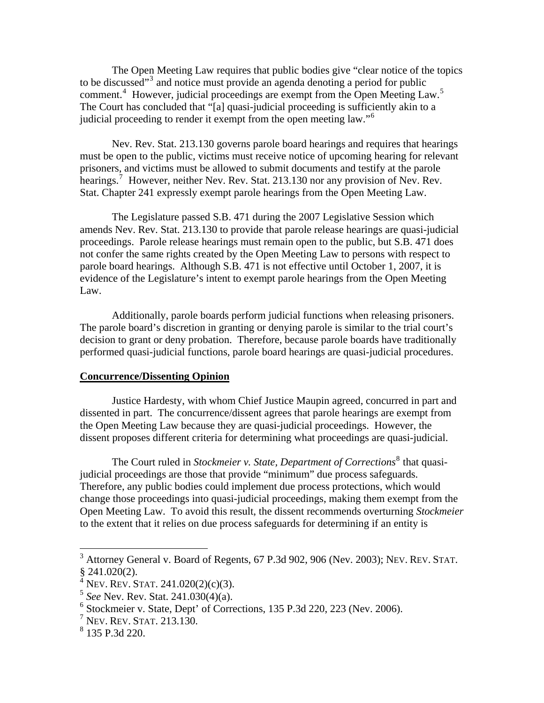The Open Meeting Law requires that public bodies give "clear notice of the topics to be discussed"<sup>[3](#page-2-0)</sup> and notice must provide an agenda denoting a period for public comment.<sup>[4](#page-2-1)</sup> However, judicial proceedings are exempt from the Open Meeting Law.<sup>[5](#page-2-2)</sup> The Court has concluded that "[a] quasi-judicial proceeding is sufficiently akin to a judicial proceeding to render it exempt from the open meeting law."<sup>[6](#page-2-3)</sup>

Nev. Rev. Stat. 213.130 governs parole board hearings and requires that hearings must be open to the public, victims must receive notice of upcoming hearing for relevant prisoners, and victims must be allowed to submit documents and testify at the parole hearings.<sup>[7](#page-2-4)</sup> However, neither Nev. Rev. Stat. 213.130 nor any provision of Nev. Rev. Stat. Chapter 241 expressly exempt parole hearings from the Open Meeting Law.

The Legislature passed S.B. 471 during the 2007 Legislative Session which amends Nev. Rev. Stat. 213.130 to provide that parole release hearings are quasi-judicial proceedings. Parole release hearings must remain open to the public, but S.B. 471 does not confer the same rights created by the Open Meeting Law to persons with respect to parole board hearings. Although S.B. 471 is not effective until October 1, 2007, it is evidence of the Legislature's intent to exempt parole hearings from the Open Meeting Law.

Additionally, parole boards perform judicial functions when releasing prisoners. The parole board's discretion in granting or denying parole is similar to the trial court's decision to grant or deny probation. Therefore, because parole boards have traditionally performed quasi-judicial functions, parole board hearings are quasi-judicial procedures.

#### **Concurrence/Dissenting Opinion**

 Justice Hardesty, with whom Chief Justice Maupin agreed, concurred in part and dissented in part. The concurrence/dissent agrees that parole hearings are exempt from the Open Meeting Law because they are quasi-judicial proceedings. However, the dissent proposes different criteria for determining what proceedings are quasi-judicial.

The Court ruled in *Stockmeier v. State, Department of Corrections*<sup>[8](#page-2-5)</sup> that quasijudicial proceedings are those that provide "minimum" due process safeguards. Therefore, any public bodies could implement due process protections, which would change those proceedings into quasi-judicial proceedings, making them exempt from the Open Meeting Law. To avoid this result, the dissent recommends overturning *Stockmeier* to the extent that it relies on due process safeguards for determining if an entity is

 $\overline{a}$ 

<span id="page-2-0"></span> $3$  Attorney General v. Board of Regents, 67 P.3d 902, 906 (Nev. 2003); NEV. REV. STAT.  $$241.020(2).$ 

 $4$  Nev. Rev. Stat. 241.020(2)(c)(3).

<span id="page-2-2"></span><span id="page-2-1"></span><sup>5</sup> *See* Nev. Rev. Stat. 241.030(4)(a).

<span id="page-2-3"></span><sup>6</sup> Stockmeier v. State, Dept' of Corrections, 135 P.3d 220, 223 (Nev. 2006).

<span id="page-2-4"></span><sup>7</sup> NEV. REV. STAT. 213.130.

<span id="page-2-5"></span><sup>8</sup> 135 P.3d 220.